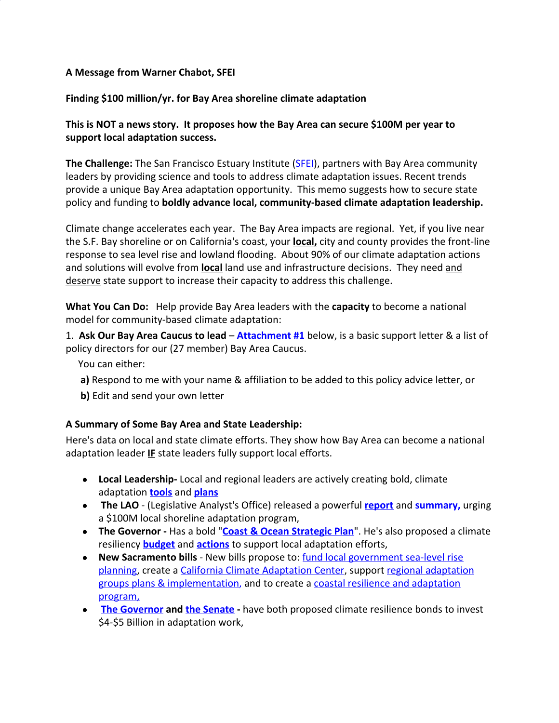## **A Message from Warner Chabot, SFEI**

## **Finding \$100 million/yr. for Bay Area shoreline climate adaptation**

# **This is NOT a news story. It proposes how the Bay Area can secure \$100M per year to support local adaptation success.**

**The Challenge:** The San Francisco Estuary Institute ([SFEI\)](https://www.sfei.org/), partners with Bay Area community leaders by providing science and tools to address climate adaptation issues. Recent trends provide a unique Bay Area adaptation opportunity. This memo suggests how to secure state policy and funding to **boldly advance local, community-based climate adaptation leadership.**

Climate change accelerates each year. The Bay Area impacts are regional. Yet, if you live near the S.F. Bay shoreline or on California's coast, your **local,** city and county provides the front-line response to sea level rise and lowland flooding. About 90% of our climate adaptation actions and solutions will evolve from **local** land use and infrastructure decisions. They need and deserve state support to increase their capacity to address this challenge.

**What You Can Do:** Help provide Bay Area leaders with the **capacity** to become a national model for community-based climate adaptation:

1. **Ask Our Bay Area Caucus to lead** – **Attachment #1** below, is a basic support letter & a list of policy directors for our (27 member) Bay Area Caucus.

You can either:

- **a)** Respond to me with your name & affiliation to be added to this policy advice letter, or
- **b)** Edit and send your own letter

#### **A Summary of Some Bay Area and State Leadership:**

Here's data on local and state climate efforts. They show how Bay Area can become a national adaptation leader **IF** state leaders fully support local efforts.

- **Local Leadership-** Local and regional leaders are actively creating bold, climate adaptation **[tools](https://www.sfei.org/adaptationatlas)** and **[plans](http://www.adaptingtorisingtides.org/)**
- **The LAO** (Legislative Analyst's Office) released a powerful **[report](https://lao.ca.gov/reports/2019/4121/coastal-adaptation-121019.pdf)** and **summary,** urging a \$100M local shoreline adaptation program,
- **The Governor** Has a bold "**[Coast & Ocean Strategic Plan](http://www.opc.ca.gov/webmaster/ftp/pdf/2020-2025-strategic-plan/OPC-2020-2025-Strategic-Plan-FINAL-20200228.pdf)**". He's also proposed a climate resiliency **[budget](http://www.ebudget.ca.gov/2020-21/pdf/BudgetSummary/ClimateResilience.pdf)** and **[actions](https://esd.dof.ca.gov/Documents/bcp/2021/FY2021_ORG0650_BCP3734.pdf)** to support local adaptation efforts,
- **New Sacramento bills** New bills propose to: [fund local government sea-level rise](http://leginfo.legislature.ca.gov/faces/billTextClient.xhtml?bill_id=201920200SB1100) [planning](http://leginfo.legislature.ca.gov/faces/billTextClient.xhtml?bill_id=201920200SB1100), create a [California Climate Adaptation Center](http://leginfo.legislature.ca.gov/faces/billNavClient.xhtml?bill_id=201920200AB1920&firstNav=tracking), support [regional adaptation](https://leginfo.legislature.ca.gov/faces/billTextClient.xhtml?bill_id=201920200AB2148&search_keywords=Bay+Area+climate+adaptation) [groups plans & implementation,](https://leginfo.legislature.ca.gov/faces/billTextClient.xhtml?bill_id=201920200AB2148&search_keywords=Bay+Area+climate+adaptation) and to create a [coastal resilience and adaptation](http://leginfo.legislature.ca.gov/faces/billTextClient.xhtml?bill_id=201920200AB2619) [program,](http://leginfo.legislature.ca.gov/faces/billTextClient.xhtml?bill_id=201920200AB2619)
- **[The Governor](http://www.ebudget.ca.gov/2020-21/pdf/BudgetSummary/ClimateResilience.pdf) and [the Senate](https://leginfo.legislature.ca.gov/faces/billTextClient.xhtml?bill_id=201920200SB45) -** have both proposed climate resilience bonds to invest \$4-\$5 Billion in adaptation work,